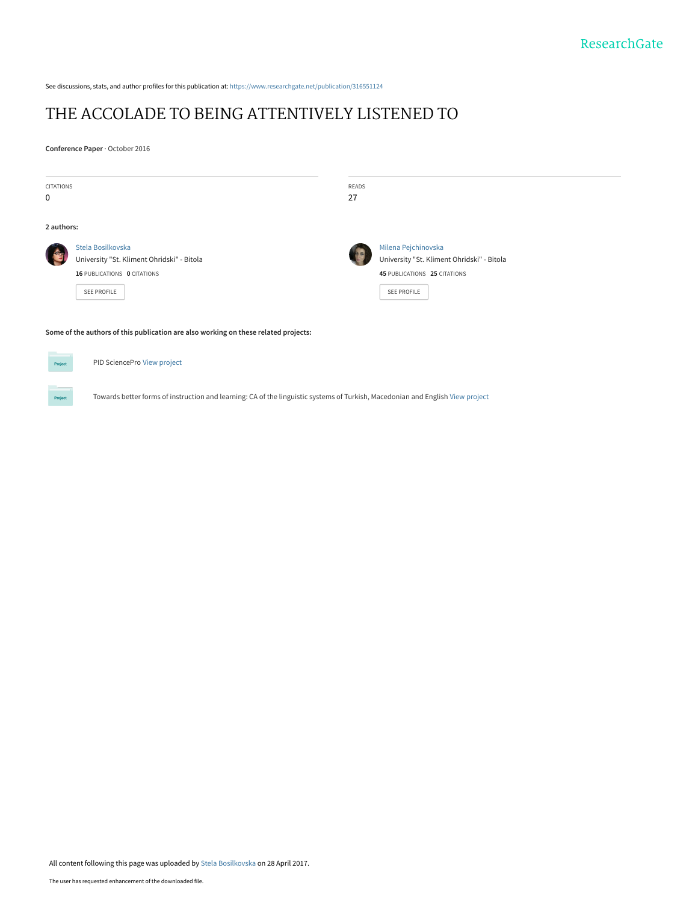See discussions, stats, and author profiles for this publication at: [https://www.researchgate.net/publication/316551124](https://www.researchgate.net/publication/316551124_THE_ACCOLADE_TO_BEING_ATTENTIVELY_LISTENED_TO?enrichId=rgreq-6710124c702cc6c399191dc1623eb326-XXX&enrichSource=Y292ZXJQYWdlOzMxNjU1MTEyNDtBUzo0ODgyMjI3NzUwOTEyMDZAMTQ5MzQxMjc4ODk0OQ%3D%3D&el=1_x_2&_esc=publicationCoverPdf)

# [THE ACCOLADE TO BEING ATTENTIVELY LISTENED TO](https://www.researchgate.net/publication/316551124_THE_ACCOLADE_TO_BEING_ATTENTIVELY_LISTENED_TO?enrichId=rgreq-6710124c702cc6c399191dc1623eb326-XXX&enrichSource=Y292ZXJQYWdlOzMxNjU1MTEyNDtBUzo0ODgyMjI3NzUwOTEyMDZAMTQ5MzQxMjc4ODk0OQ%3D%3D&el=1_x_3&_esc=publicationCoverPdf)

**Conference Paper** · October 2016

**Project** 

| <b>CITATIONS</b><br>$\mathbf 0$                                                     |                                                                                                               | READS<br>27 |                                                                                                                         |
|-------------------------------------------------------------------------------------|---------------------------------------------------------------------------------------------------------------|-------------|-------------------------------------------------------------------------------------------------------------------------|
| 2 authors:                                                                          |                                                                                                               |             |                                                                                                                         |
|                                                                                     | Stela Bosilkovska<br>University "St. Kliment Ohridski" - Bitola<br>16 PUBLICATIONS 0 CITATIONS<br>SEE PROFILE |             | Milena Pejchinovska<br>University "St. Kliment Ohridski" - Bitola<br>45 PUBLICATIONS 25 CITATIONS<br><b>SEE PROFILE</b> |
| Some of the authors of this publication are also working on these related projects: |                                                                                                               |             |                                                                                                                         |
| Project                                                                             | PID SciencePro View project                                                                                   |             |                                                                                                                         |

Towards better forms of instruction and learning: CA of the linguistic systems of Turkish, Macedonian and English [View project](https://www.researchgate.net/project/Towards-better-forms-of-instruction-and-learning-CA-of-the-linguistic-systems-of-Turkish-Macedonian-and-English?enrichId=rgreq-6710124c702cc6c399191dc1623eb326-XXX&enrichSource=Y292ZXJQYWdlOzMxNjU1MTEyNDtBUzo0ODgyMjI3NzUwOTEyMDZAMTQ5MzQxMjc4ODk0OQ%3D%3D&el=1_x_9&_esc=publicationCoverPdf)

All content following this page was uploaded by [Stela Bosilkovska](https://www.researchgate.net/profile/Stela_Bosilkovska?enrichId=rgreq-6710124c702cc6c399191dc1623eb326-XXX&enrichSource=Y292ZXJQYWdlOzMxNjU1MTEyNDtBUzo0ODgyMjI3NzUwOTEyMDZAMTQ5MzQxMjc4ODk0OQ%3D%3D&el=1_x_10&_esc=publicationCoverPdf) on 28 April 2017.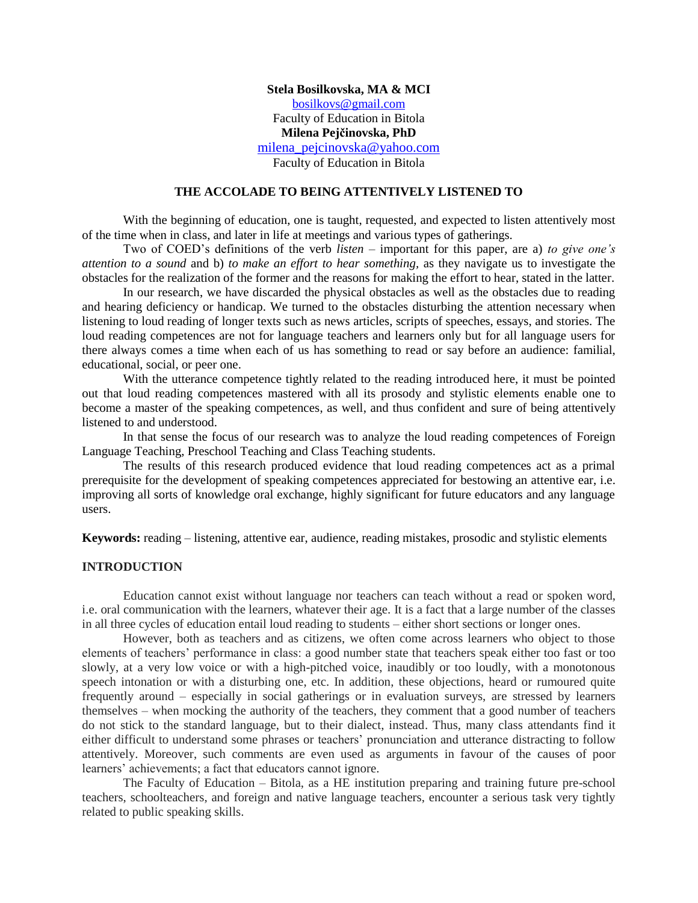# **Stela Bosilkovska, MA & MCI** [bosilkovs@gmail.com](mailto:bosilkovs@gmail.com) Faculty of Education in Bitola **Milena Pejčinovska, PhD** [milena\\_pejcinovska@yahoo.com](mailto:milena_pejcinovska@yahoo.com)

Faculty of Education in Bitola

# **THE ACCOLADE TO BEING ATTENTIVELY LISTENED TO**

With the beginning of education, one is taught, requested, and expected to listen attentively most of the time when in class, and later in life at meetings and various types of gatherings.

Two of COED"s definitions of the verb *listen* – important for this paper, are a) *to give one"s attention to a sound* and b) *to make an effort to hear something,* as they navigate us to investigate the obstacles for the realization of the former and the reasons for making the effort to hear, stated in the latter.

In our research, we have discarded the physical obstacles as well as the obstacles due to reading and hearing deficiency or handicap. We turned to the obstacles disturbing the attention necessary when listening to loud reading of longer texts such as news articles, scripts of speeches, essays, and stories. The loud reading competences are not for language teachers and learners only but for all language users for there always comes a time when each of us has something to read or say before an audience: familial, educational, social, or peer one.

With the utterance competence tightly related to the reading introduced here, it must be pointed out that loud reading competences mastered with all its prosody and stylistic elements enable one to become a master of the speaking competences, as well, and thus confident and sure of being attentively listened to and understood.

In that sense the focus of our research was to analyze the loud reading competences of Foreign Language Teaching, Preschool Teaching and Class Teaching students.

The results of this research produced evidence that loud reading competences act as a primal prerequisite for the development of speaking competences appreciated for bestowing an attentive ear, i.e. improving all sorts of knowledge oral exchange, highly significant for future educators and any language users.

**Keywords:** reading – listening, attentive ear, audience, reading mistakes, prosodic and stylistic elements

#### **INTRODUCTION**

Education cannot exist without language nor teachers can teach without a read or spoken word, i.e. oral communication with the learners, whatever their age. It is a fact that a large number of the classes in all three cycles of education entail loud reading to students – either short sections or longer ones.

However, both as teachers and as citizens, we often come across learners who object to those elements of teachers" performance in class: a good number state that teachers speak either too fast or too slowly, at a very low voice or with a high-pitched voice, inaudibly or too loudly, with a monotonous speech intonation or with a disturbing one, etc. In addition, these objections, heard or rumoured quite frequently around – especially in social gatherings or in evaluation surveys, are stressed by learners themselves – when mocking the authority of the teachers, they comment that a good number of teachers do not stick to the standard language, but to their dialect, instead. Thus, many class attendants find it either difficult to understand some phrases or teachers' pronunciation and utterance distracting to follow attentively. Moreover, such comments are even used as arguments in favour of the causes of poor learners' achievements; a fact that educators cannot ignore.

The Faculty of Education – Bitola, as a HE institution preparing and training future pre-school teachers, schoolteachers, and foreign and native language teachers, encounter a serious task very tightly related to public speaking skills.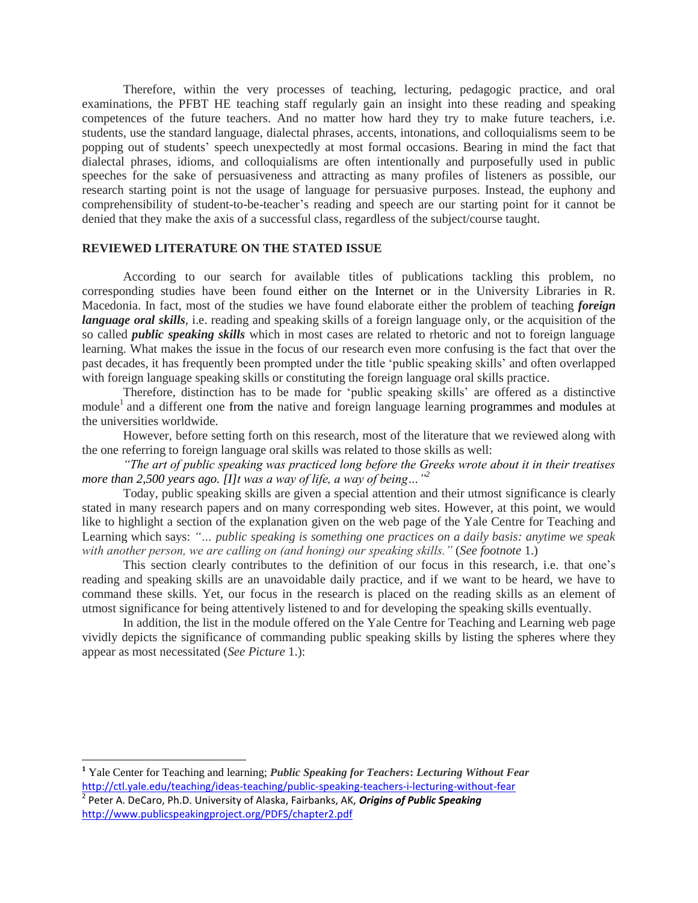Therefore, within the very processes of teaching, lecturing, pedagogic practice, and oral examinations, the PFBT HE teaching staff regularly gain an insight into these reading and speaking competences of the future teachers. And no matter how hard they try to make future teachers, i.e. students, use the standard language, dialectal phrases, accents, intonations, and colloquialisms seem to be popping out of students" speech unexpectedly at most formal occasions. Bearing in mind the fact that dialectal phrases, idioms, and colloquialisms are often intentionally and purposefully used in public speeches for the sake of persuasiveness and attracting as many profiles of listeners as possible, our research starting point is not the usage of language for persuasive purposes. Instead, the euphony and comprehensibility of student-to-be-teacher"s reading and speech are our starting point for it cannot be denied that they make the axis of a successful class, regardless of the subject/course taught.

#### **REVIEWED LITERATURE ON THE STATED ISSUE**

According to our search for available titles of publications tackling this problem, no corresponding studies have been found either on the Internet or in the University Libraries in R. Macedonia. In fact, most of the studies we have found elaborate either the problem of teaching *foreign language oral skills*, i.e. reading and speaking skills of a foreign language only, or the acquisition of the so called *public speaking skills* which in most cases are related to rhetoric and not to foreign language learning. What makes the issue in the focus of our research even more confusing is the fact that over the past decades, it has frequently been prompted under the title "public speaking skills" and often overlapped with foreign language speaking skills or constituting the foreign language oral skills practice.

Therefore, distinction has to be made for "public speaking skills" are offered as a distinctive module<sup>1</sup> and a different one from the native and foreign language learning programmes and modules at the universities worldwide.

However, before setting forth on this research, most of the literature that we reviewed along with the one referring to foreign language oral skills was related to those skills as well:

*"The art of public speaking was practiced long before the Greeks wrote about it in their treatises more than 2,500 years ago. [I]t was a way of life, a way of being…"<sup>2</sup>*

Today, public speaking skills are given a special attention and their utmost significance is clearly stated in many research papers and on many corresponding web sites. However, at this point, we would like to highlight a section of the explanation given on the web page of the Yale Centre for Teaching and Learning which says: *"… public speaking is something one practices on a daily basis: anytime we speak with another person, we are calling on (and honing) our speaking skills."* (*See footnote* 1.)

This section clearly contributes to the definition of our focus in this research, i.e. that one"s reading and speaking skills are an unavoidable daily practice, and if we want to be heard, we have to command these skills. Yet, our focus in the research is placed on the reading skills as an element of utmost significance for being attentively listened to and for developing the speaking skills eventually.

In addition, the list in the module offered on the Yale Centre for Teaching and Learning web page vividly depicts the significance of commanding public speaking skills by listing the spheres where they appear as most necessitated (*See Picture* 1.):

 $\overline{\phantom{a}}$ 

**<sup>1</sup>** Yale Center for Teaching and learning; *Public Speaking for Teachers***:** *Lecturing Without Fear* <http://ctl.yale.edu/teaching/ideas-teaching/public-speaking-teachers-i-lecturing-without-fear>

<sup>2</sup> Peter A. DeCaro, Ph.D. University of Alaska, Fairbanks, AK, *Origins of Public Speaking* <http://www.publicspeakingproject.org/PDFS/chapter2.pdf>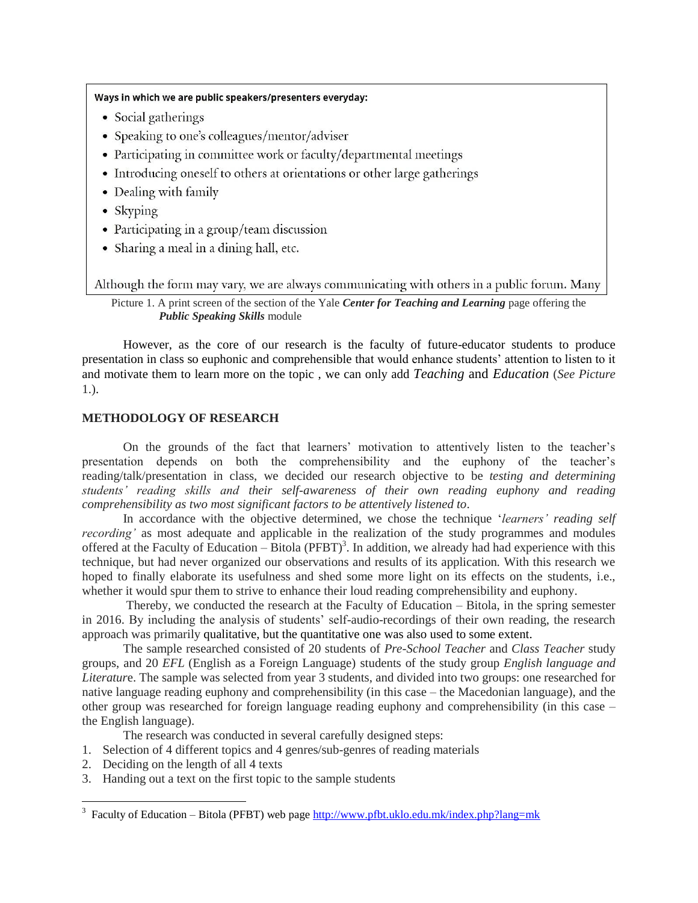#### Ways in which we are public speakers/presenters everyday:

- Social gatherings
- Speaking to one's colleagues/mentor/adviser
- Participating in committee work or faculty/departmental meetings
- Introducing oneself to others at orientations or other large gatherings
- Dealing with family
- Skyping
- Participating in a group/team discussion
- Sharing a meal in a dining hall, etc.

Although the form may vary, we are always communicating with others in a public forum. Many

Picture 1. A print screen of the section of the Yale *Center for Teaching and Learning* page offering the *Public Speaking Skills* module

However, as the core of our research is the faculty of future-educator students to produce presentation in class so euphonic and comprehensible that would enhance students" attention to listen to it and motivate them to learn more on the topic , we can only add *Teaching* and *Education* (*See Picture*  1.).

# **METHODOLOGY OF RESEARCH**

On the grounds of the fact that learners' motivation to attentively listen to the teacher's presentation depends on both the comprehensibility and the euphony of the teacher"s reading/talk/presentation in class, we decided our research objective to be *testing and determining students" reading skills and their self-awareness of their own reading euphony and reading comprehensibility as two most significant factors to be attentively listened to*.

In accordance with the objective determined, we chose the technique "*learners" reading self recording"* as most adequate and applicable in the realization of the study programmes and modules offered at the Faculty of Education  $-\overline{B}$ itola (PFBT)<sup>3</sup>. In addition, we already had had experience with this technique, but had never organized our observations and results of its application. With this research we hoped to finally elaborate its usefulness and shed some more light on its effects on the students, i.e., whether it would spur them to strive to enhance their loud reading comprehensibility and euphony.

Thereby, we conducted the research at the Faculty of Education – Bitola, in the spring semester in 2016. By including the analysis of students' self-audio-recordings of their own reading, the research approach was primarily qualitative, but the quantitative one was also used to some extent.

The sample researched consisted of 20 students of *Pre-School Teacher* and *Class Teacher* study groups, and 20 *EFL* (English as a Foreign Language) students of the study group *English language and Literatur*e. The sample was selected from year 3 students, and divided into two groups: one researched for native language reading euphony and comprehensibility (in this case – the Macedonian language), and the other group was researched for foreign language reading euphony and comprehensibility (in this case – the English language).

The research was conducted in several carefully designed steps:

- 1. Selection of 4 different topics and 4 genres/sub-genres of reading materials
- 2. Deciding on the length of all 4 texts

 $\overline{\phantom{a}}$ 

3. Handing out a text on the first topic to the sample students

<sup>&</sup>lt;sup>3</sup> Faculty of Education – Bitola (PFBT) web page  $\frac{http://www.pfbt.uklo.edu.mk/index.php?lang=mk}{$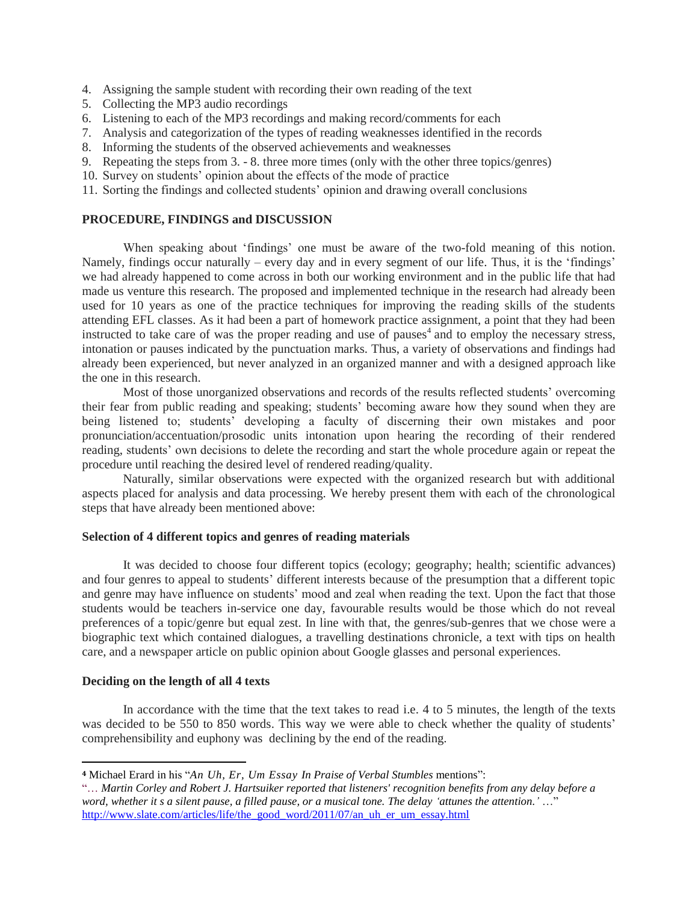- 4. Assigning the sample student with recording their own reading of the text
- 5. Collecting the MP3 audio recordings
- 6. Listening to each of the MP3 recordings and making record/comments for each
- 7. Analysis and categorization of the types of reading weaknesses identified in the records
- 8. Informing the students of the observed achievements and weaknesses
- 9. Repeating the steps from 3. 8. three more times (only with the other three topics/genres)
- 10. Survey on students" opinion about the effects of the mode of practice
- 11. Sorting the findings and collected students" opinion and drawing overall conclusions

# **PROCEDURE, FINDINGS and DISCUSSION**

When speaking about "findings" one must be aware of the two-fold meaning of this notion. Namely, findings occur naturally – every day and in every segment of our life. Thus, it is the 'findings' we had already happened to come across in both our working environment and in the public life that had made us venture this research. The proposed and implemented technique in the research had already been used for 10 years as one of the practice techniques for improving the reading skills of the students attending EFL classes. As it had been a part of homework practice assignment, a point that they had been instructed to take care of was the proper reading and use of pauses<sup>4</sup> and to employ the necessary stress, intonation or pauses indicated by the punctuation marks. Thus, a variety of observations and findings had already been experienced, but never analyzed in an organized manner and with a designed approach like the one in this research.

Most of those unorganized observations and records of the results reflected students" overcoming their fear from public reading and speaking; students" becoming aware how they sound when they are being listened to; students' developing a faculty of discerning their own mistakes and poor pronunciation/accentuation/prosodic units intonation upon hearing the recording of their rendered reading, students" own decisions to delete the recording and start the whole procedure again or repeat the procedure until reaching the desired level of rendered reading/quality.

Naturally, similar observations were expected with the organized research but with additional aspects placed for analysis and data processing. We hereby present them with each of the chronological steps that have already been mentioned above:

#### **Selection of 4 different topics and genres of reading materials**

It was decided to choose four different topics (ecology; geography; health; scientific advances) and four genres to appeal to students" different interests because of the presumption that a different topic and genre may have influence on students" mood and zeal when reading the text. Upon the fact that those students would be teachers in-service one day, favourable results would be those which do not reveal preferences of a topic/genre but equal zest. In line with that, the genres/sub-genres that we chose were a biographic text which contained dialogues, a travelling destinations chronicle, a text with tips on health care, and a newspaper article on public opinion about Google glasses and personal experiences.

#### **Deciding on the length of all 4 texts**

 $\overline{a}$ 

In accordance with the time that the text takes to read i.e. 4 to 5 minutes, the length of the texts was decided to be 550 to 850 words. This way we were able to check whether the quality of students' comprehensibility and euphony was declining by the end of the reading.

**<sup>4</sup>** Michael Erard in his "*[An Uh, Er, Um Essay In Praise of Verbal Stumbles](http://www.slate.com/authors.michael_erard.html)* mentions":

[<sup>&</sup>quot;…](http://www.slate.com/authors.michael_erard.html) *Martin Corley and Robert J. Hartsuiker reported that listeners' recognition benefits from any delay before a word, whether it s a silent pause, a filled pause, or a musical tone. The delay "attunes the attention."* …" [http://www.slate.com/articles/life/the\\_good\\_word/2011/07/an\\_uh\\_er\\_um\\_essay.html](http://www.slate.com/articles/life/the_good_word/2011/07/an_uh_er_um_essay.html)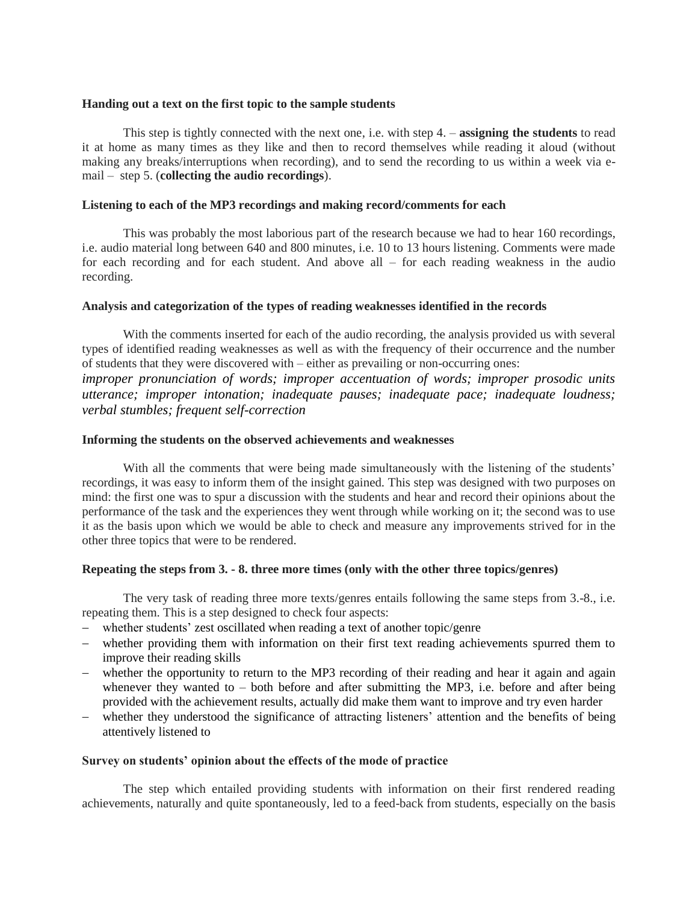### **Handing out a text on the first topic to the sample students**

This step is tightly connected with the next one, i.e. with step 4. – **assigning the students** to read it at home as many times as they like and then to record themselves while reading it aloud (without making any breaks/interruptions when recording), and to send the recording to us within a week via email – step 5. (**collecting the audio recordings**).

### **Listening to each of the MP3 recordings and making record/comments for each**

This was probably the most laborious part of the research because we had to hear 160 recordings, i.e. audio material long between 640 and 800 minutes, i.e. 10 to 13 hours listening. Comments were made for each recording and for each student. And above all – for each reading weakness in the audio recording.

# **Analysis and categorization of the types of reading weaknesses identified in the records**

With the comments inserted for each of the audio recording, the analysis provided us with several types of identified reading weaknesses as well as with the frequency of their occurrence and the number of students that they were discovered with – either as prevailing or non-occurring ones:

*improper pronunciation of words; improper accentuation of words; improper prosodic units utterance; improper intonation; inadequate pauses; inadequate pace; inadequate loudness; verbal stumbles; frequent self-correction*

# **Informing the students on the observed achievements and weaknesses**

With all the comments that were being made simultaneously with the listening of the students' recordings, it was easy to inform them of the insight gained. This step was designed with two purposes on mind: the first one was to spur a discussion with the students and hear and record their opinions about the performance of the task and the experiences they went through while working on it; the second was to use it as the basis upon which we would be able to check and measure any improvements strived for in the other three topics that were to be rendered.

#### **Repeating the steps from 3. - 8. three more times (only with the other three topics/genres)**

The very task of reading three more texts/genres entails following the same steps from 3.-8., i.e. repeating them. This is a step designed to check four aspects:

- whether students' zest oscillated when reading a text of another topic/genre
- whether providing them with information on their first text reading achievements spurred them to improve their reading skills
- whether the opportunity to return to the MP3 recording of their reading and hear it again and again whenever they wanted to – both before and after submitting the MP3, i.e. before and after being provided with the achievement results, actually did make them want to improve and try even harder
- whether they understood the significance of attracting listeners' attention and the benefits of being attentively listened to

#### **Survey on students' opinion about the effects of the mode of practice**

The step which entailed providing students with information on their first rendered reading achievements, naturally and quite spontaneously, led to a feed-back from students, especially on the basis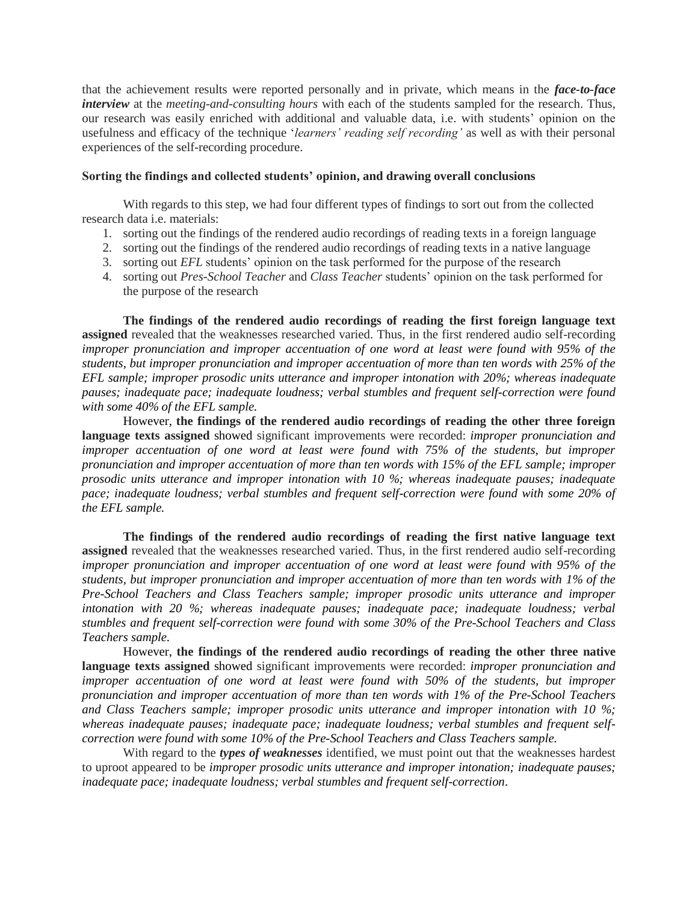that the achievement results were reported personally and in private, which means in the *face-to-face interview* at the *meeting-and-consulting hours* with each of the students sampled for the research. Thus, our research was easily enriched with additional and valuable data, i.e. with students" opinion on the usefulness and efficacy of the technique "*learners" reading self recording"* as well as with their personal experiences of the self-recording procedure.

# **Sorting the findings and collected students' opinion, and drawing overall conclusions**

With regards to this step, we had four different types of findings to sort out from the collected research data i.e. materials:

- 1. sorting out the findings of the rendered audio recordings of reading texts in a foreign language
- 2. sorting out the findings of the rendered audio recordings of reading texts in a native language
- 3. sorting out *EFL* students' opinion on the task performed for the purpose of the research
- 4. sorting out *Pres-School Teacher* and *Class Teacher* students" opinion on the task performed for the purpose of the research

**The findings of the rendered audio recordings of reading the first foreign language text assigned** revealed that the weaknesses researched varied. Thus, in the first rendered audio self-recording *improper pronunciation and improper accentuation of one word at least were found with 95% of the students, but improper pronunciation and improper accentuation of more than ten words with 25% of the EFL sample; improper prosodic units utterance and improper intonation with 20%; whereas inadequate pauses; inadequate pace; inadequate loudness; verbal stumbles and frequent self-correction were found with some 40% of the EFL sample.*

However, **the findings of the rendered audio recordings of reading the other three foreign language texts assigned** showed significant improvements were recorded: *improper pronunciation and improper accentuation of one word at least were found with 75% of the students, but improper pronunciation and improper accentuation of more than ten words with 15% of the EFL sample; improper prosodic units utterance and improper intonation with 10 %; whereas inadequate pauses; inadequate pace; inadequate loudness; verbal stumbles and frequent self-correction were found with some 20% of the EFL sample.*

**The findings of the rendered audio recordings of reading the first native language text assigned** revealed that the weaknesses researched varied. Thus, in the first rendered audio self-recording *improper pronunciation and improper accentuation of one word at least were found with 95% of the students, but improper pronunciation and improper accentuation of more than ten words with 1% of the Pre-School Teachers and Class Teachers sample; improper prosodic units utterance and improper intonation with 20 %; whereas inadequate pauses; inadequate pace; inadequate loudness; verbal stumbles and frequent self-correction were found with some 30% of the Pre-School Teachers and Class Teachers sample.*

However, **the findings of the rendered audio recordings of reading the other three native language texts assigned** showed significant improvements were recorded: *improper pronunciation and improper accentuation of one word at least were found with 50% of the students, but improper pronunciation and improper accentuation of more than ten words with 1% of the Pre-School Teachers and Class Teachers sample; improper prosodic units utterance and improper intonation with 10 %; whereas inadequate pauses; inadequate pace; inadequate loudness; verbal stumbles and frequent selfcorrection were found with some 10% of the Pre-School Teachers and Class Teachers sample.*

With regard to the *types of weaknesses* identified, we must point out that the weaknesses hardest to uproot appeared to be *improper prosodic units utterance and improper intonation; inadequate pauses; inadequate pace; inadequate loudness; verbal stumbles and frequent self-correction*.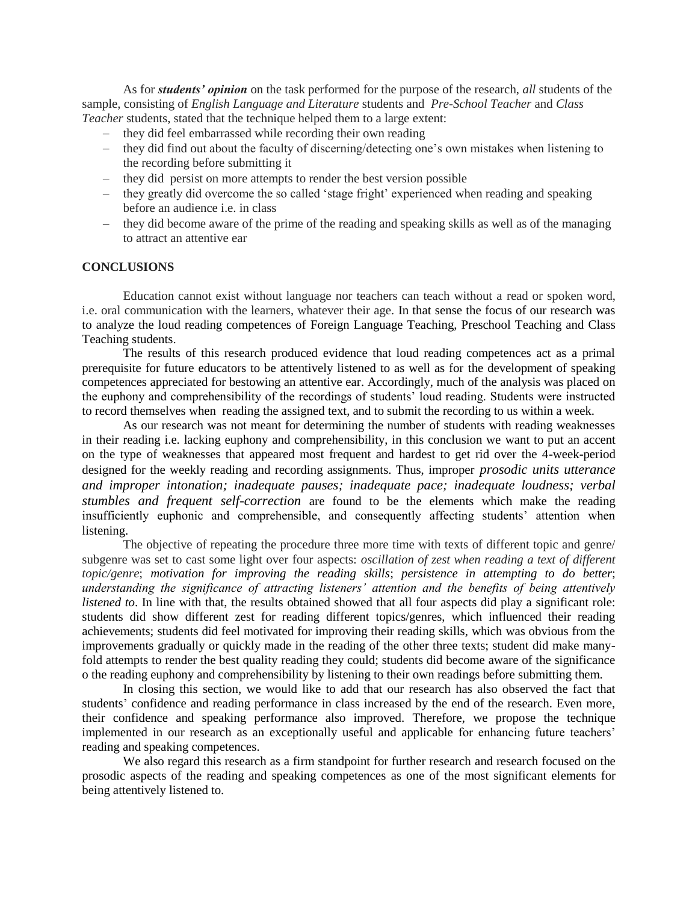As for *students' opinion* on the task performed for the purpose of the research, *all* students of the sample, consisting of *English Language and Literature* students and *Pre-School Teacher* and *Class Teacher* students, stated that the technique helped them to a large extent:

- they did feel embarrassed while recording their own reading
- they did find out about the faculty of discerning/detecting one's own mistakes when listening to the recording before submitting it
- they did persist on more attempts to render the best version possible
- they greatly did overcome the so called 'stage fright' experienced when reading and speaking before an audience i.e. in class
- they did become aware of the prime of the reading and speaking skills as well as of the managing to attract an attentive ear

#### **CONCLUSIONS**

Education cannot exist without language nor teachers can teach without a read or spoken word, i.e. oral communication with the learners, whatever their age. In that sense the focus of our research was to analyze the loud reading competences of Foreign Language Teaching, Preschool Teaching and Class Teaching students.

The results of this research produced evidence that loud reading competences act as a primal prerequisite for future educators to be attentively listened to as well as for the development of speaking competences appreciated for bestowing an attentive ear. Accordingly, much of the analysis was placed on the euphony and comprehensibility of the recordings of students" loud reading. Students were instructed to record themselves when reading the assigned text, and to submit the recording to us within a week.

As our research was not meant for determining the number of students with reading weaknesses in their reading i.e. lacking euphony and comprehensibility, in this conclusion we want to put an accent on the type of weaknesses that appeared most frequent and hardest to get rid over the 4-week-period designed for the weekly reading and recording assignments. Thus, improper *prosodic units utterance and improper intonation; inadequate pauses; inadequate pace; inadequate loudness; verbal stumbles and frequent self-correction* are found to be the elements which make the reading insufficiently euphonic and comprehensible, and consequently affecting students' attention when listening.

The objective of repeating the procedure three more time with texts of different topic and genre/ subgenre was set to cast some light over four aspects: *oscillation of zest when reading a text of different topic/genre*; *motivation for improving the reading skills*; *persistence in attempting to do better*; *understanding the significance of attracting listeners" attention and the benefits of being attentively listened to*. In line with that, the results obtained showed that all four aspects did play a significant role: students did show different zest for reading different topics/genres, which influenced their reading achievements; students did feel motivated for improving their reading skills, which was obvious from the improvements gradually or quickly made in the reading of the other three texts; student did make manyfold attempts to render the best quality reading they could; students did become aware of the significance o the reading euphony and comprehensibility by listening to their own readings before submitting them.

In closing this section, we would like to add that our research has also observed the fact that students" confidence and reading performance in class increased by the end of the research. Even more, their confidence and speaking performance also improved. Therefore, we propose the technique implemented in our research as an exceptionally useful and applicable for enhancing future teachers' reading and speaking competences.

We also regard this research as a firm standpoint for further research and research focused on the prosodic aspects of the reading and speaking competences as one of the most significant elements for being attentively listened to.